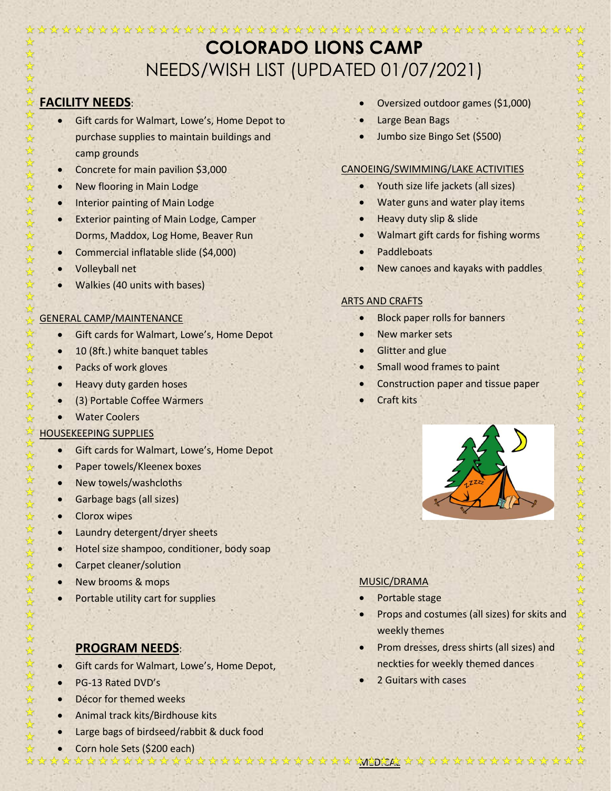# **COLORADO LIONS CAMP** NEEDS/WISH LIST (UPDATED 01/07/2021)

#### $\frac{1}{2}$ **FACILITY NEEDS**:

☆

☆ \*

 $\frac{1}{\mathcal{N}}$ \*

\*

 $\frac{1}{\sqrt{2}}$  $\frac{1}{2}$ 

\*

 $\frac{1}{\sqrt{2}}$ 

 $\frac{1}{2}$ 

\*

 $\frac{1}{2}$ 

云

25 25 25

\*

 $\frac{1}{2}$ 

\*

\*

 $\frac{1}{2}$  $\frac{1}{2}$ 

 $\frac{1}{\mathcal{N}}$ 

 $\frac{1}{\sqrt{2}}$ 

\* \*

 $\frac{1}{2}$ 

 $\frac{1}{2}$ 

\*  $\frac{1}{k}$ 

55年

25 25

 $\frac{1}{\sqrt{2}}$  $\frac{1}{2}$ 

 $\frac{1}{k}$  $\frac{1}{2}$ 

 $\frac{1}{2}$ 

\*

55年

\*

25 25

 $\frac{1}{\sqrt{2}}$ 

 $\frac{1}{2}$ 

\*

 $\frac{1}{2}$  $\frac{1}{2}$  $\rightarrow$ 

 $\frac{1}{2}$ \* ☆

- Gift cards for Walmart, Lowe's, Home Depot to purchase supplies to maintain buildings and camp grounds
- Concrete for main pavilion \$3,000
- New flooring in Main Lodge
- Interior painting of Main Lodge
- Exterior painting of Main Lodge, Camper Dorms, Maddox, Log Home, Beaver Run
- Commercial inflatable slide (\$4,000)
- Volleyball net
- Walkies (40 units with bases)

#### \* GENERAL CAMP/MAINTENANCE  $\frac{1}{\mathcal{N}}$

- Gift cards for Walmart, Lowe's, Home Depot
- 10 (8ft.) white banquet tables
- Packs of work gloves
- Heavy duty garden hoses
- (3) Portable Coffee Warmers
- **Water Coolers**

#### $x^2$ HOUSEKEEPING SUPPLIES

- Gift cards for Walmart, Lowe's, Home Depot
- Paper towels/Kleenex boxes
- New towels/washcloths
- Garbage bags (all sizes)
- Clorox wipes
- Laundry detergent/dryer sheets
- Hotel size shampoo, conditioner, body soap
- Carpet cleaner/solution
- New brooms & mops
- Portable utility cart for supplies
	- **PROGRAM NEEDS**:
- Gift cards for Walmart, Lowe's, Home Depot,
- PG-13 Rated DVD's
- Décor for themed weeks
- Animal track kits/Birdhouse kits
- Large bags of birdseed/rabbit & duck food
- Corn hole Sets (\$200 each)
- Oversized outdoor games (\$1,000)
- Large Bean Bags
- Jumbo size Bingo Set (\$500)

## CANOEING/SWIMMING/LAKE ACTIVITIES

- Youth size life jackets (all sizes)
- Water guns and water play items
- Heavy duty slip & slide
- Walmart gift cards for fishing worms
- Paddleboats
- New canoes and kayaks with paddles

### ARTS AND CRAFTS

- **Block paper rolls for banners**
- New marker sets
- **Glitter and glue**
- Small wood frames to paint
- Construction paper and tissue paper
- Craft kits



### MUSIC/DRAMA

- Portable stage
- Props and costumes (all sizes) for skits and weekly themes
- Prom dresses, dress shirts (all sizes) and neckties for weekly themed dances
- 2 Guitars with cases
- ☆  $\frac{\lambda}{\lambda}$  $\frac{1}{2}$  $\frac{1}{2}$  $\frac{1}{k}$  $\frac{1}{2}$  $\frac{1}{2}$  $\frac{1}{2}$  $\frac{1}{\sqrt{2}}$  $\frac{1}{\sqrt{2}}$  $\frac{1}{k}$  $\frac{1}{2}$  $\frac{1}{2}$ ☆  $\frac{1}{2}$  $\frac{1}{2}$  $\frac{1}{2}$  $\frac{1}{\sqrt{2}}$  $\frac{1}{\sqrt{2}}$  $\frac{1}{\sqrt{2}}$  $\frac{1}{\sqrt{2}}$  $\frac{1}{\sqrt{2}}$  $\frac{1}{2}$  $\frac{1}{2}$ \*  $\frac{1}{2}$  $\frac{1}{2}$  $\frac{1}{2}$  $\frac{1}{\sqrt{2}}$ 25 22  $\frac{1}{\sqrt{2}}$ ☆ ☆  $\frac{1}{2}$ 22年 毕毕  $\frac{1}{\sqrt{2}}$  $\frac{1}{\sqrt{2}}$  $\frac{1}{2}$  $\frac{1}{2}$  $\frac{1}{\sqrt{2}}$ ☆ \*  $\frac{1}{\mathcal{N}}$  $\frac{1}{\sqrt{2}}$  $\frac{1}{\sqrt{2}}$  $\frac{1}{\sqrt{2}}$  $\frac{1}{2}$ 毕毕 华华华 MEDICAL